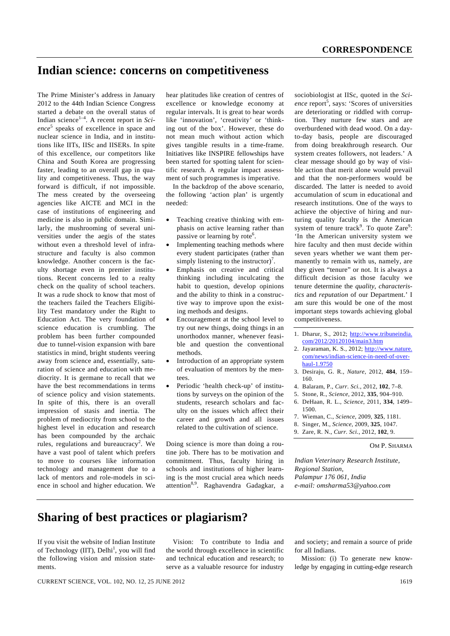# **Indian science: concerns on competitiveness**

The Prime Minister's address in January 2012 to the 44th Indian Science Congress started a debate on the overall status of Indian science<sup>1-4</sup>. A recent report in *Science*<sup>5</sup> speaks of excellence in space and nuclear science in India, and in institutions like IITs, IISc and IISERs. In spite of this excellence, our competitors like China and South Korea are progressing faster, leading to an overall gap in quality and competitiveness. Thus, the way forward is difficult, if not impossible. The mess created by the overseeing agencies like AICTE and MCI in the case of institutions of engineering and medicine is also in public domain. Similarly, the mushrooming of several universities under the aegis of the states without even a threshold level of infrastructure and faculty is also common knowledge. Another concern is the faculty shortage even in premier institutions. Recent concerns led to a realty check on the quality of school teachers. It was a rude shock to know that most of the teachers failed the Teachers Eligibility Test mandatory under the Right to Education Act. The very foundation of science education is crumbling. The problem has been further compounded due to tunnel-vision expansion with bare statistics in mind, bright students veering away from science and, essentially, saturation of science and education with mediocrity. It is germane to recall that we have the best recommendations in terms of science policy and vision statements. In spite of this, there is an overall impression of stasis and inertia. The problem of mediocrity from school to the highest level in education and research has been compounded by the archaic rules, regulations and bureaucracy<sup>2</sup>. We have a vast pool of talent which prefers to move to courses like information technology and management due to a lack of mentors and role-models in science in school and higher education. We

hear platitudes like creation of centres of excellence or knowledge economy at regular intervals. It is great to hear words like 'innovation', 'creativity' or 'thinking out of the box'. However, these do not mean much without action which gives tangible results in a time-frame. Initiatives like INSPIRE fellowships have been started for spotting talent for scientific research. A regular impact assessment of such programmes is imperative.

 In the backdrop of the above scenario, the following 'action plan' is urgently needed:

- Teaching creative thinking with emphasis on active learning rather than passive or learning by rote<sup>6</sup>.
- Implementing teaching methods where every student participates (rather than simply listening to the instructor)<sup>7</sup>.
- Emphasis on creative and critical thinking including inculcating the habit to question, develop opinions and the ability to think in a constructive way to improve upon the existing methods and designs.
- Encouragement at the school level to try out new things, doing things in an unorthodox manner, whenever feasible and question the conventional methods.
- Introduction of an appropriate system of evaluation of mentors by the mentees.
- Periodic 'health check-up' of institutions by surveys on the opinion of the students, research scholars and faculty on the issues which affect their career and growth and all issues related to the cultivation of science.

Doing science is more than doing a routine job. There has to be motivation and commitment. Thus, faculty hiring in schools and institutions of higher learning is the most crucial area which needs attention<sup>8,9</sup>. Raghavendra Gadagkar, a

sociobiologist at IISc, quoted in the *Sci*ence report<sup>5</sup>, says: 'Scores of universities are deteriorating or riddled with corruption. They nurture few stars and are overburdened with dead wood. On a dayto-day basis, people are discouraged from doing breakthrough research. Our system creates followers, not leaders.' A clear message should go by way of visible action that merit alone would prevail and that the non-performers would be discarded. The latter is needed to avoid accumulation of scum in educational and research institutions. One of the ways to achieve the objective of hiring and nurturing quality faculty is the American system of tenure track<sup>9</sup>. To quote  $Zare^9$ : 'In the American university system we hire faculty and then must decide within seven years whether we want them permanently to remain with us, namely, are they given "tenure" or not. It is always a difficult decision as those faculty we tenure determine the *quality*, *characteristics* and *reputation* of our Department.' I am sure this would be one of the most important steps towards achieving global competitiveness.

- 1. Dharur, S., 2012; http://www.tribuneindia. com/2012/20120104/main3.htm
- 2. Jayaraman, K. S., 2012; http://www.nature. com/news/indian-science-in-need-of-overhaul-1.9750
- 3. Desiraju, G. R., *Nature*, 2012, **484**, 159– 160.
- 4. Balaram, P., *Curr. Sci.*, 2012, **102**, 7–8.
- 5. Stone, R., *Science*, 2012, **335**, 904–910.
- 6. DeHaan, R. L., *Science*, 2011, **334**, 1499– 1500.
- 7. Wieman, C., *Science*, 2009, **325**, 1181.
- 8. Singer, M., *Science*, 2009, **325**, 1047.
- 9. Zare, R. N., *Curr. Sci.*, 2012, **102**, 9.

#### OM P. SHARMA

*Indian Veterinary Research Institute, Regional Station, Palampur 176 061, India e-mail: omsharma53@yahoo.com* 

# **Sharing of best practices or plagiarism?**

If you visit the website of Indian Institute of Technology (IIT), Delhi<sup>1</sup>, you will find the following vision and mission statements.

 Vision: To contribute to India and the world through excellence in scientific and technical education and research; to serve as a valuable resource for industry and society; and remain a source of pride for all Indians.

 Mission: (i) To generate new knowledge by engaging in cutting-edge research